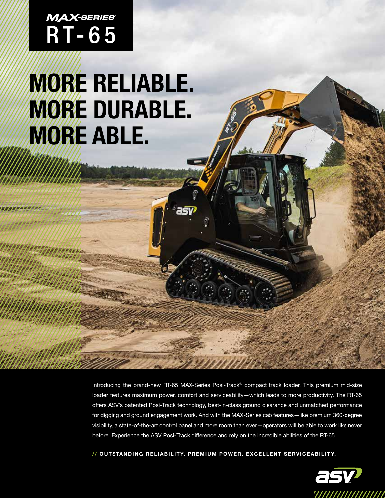# $M$ *AX-series*<br>RT-65

## **MORE RELIABLE. MORE DURABLE. MORE ABLE.**

Introducing the brand-new RT-65 MAX-Series Posi-Track® compact track loader. This premium mid-size loader features maximum power, comfort and serviceability—which leads to more productivity. The RT-65 offers ASV's patented Posi-Track technology, best-in-class ground clearance and unmatched performance for digging and ground engagement work. And with the MAX-Series cab features—like premium 360-degree visibility, a state-of-the-art control panel and more room than ever—operators will be able to work like never before. Experience the ASV Posi-Track difference and rely on the incredible abilities of the RT-65.

**// O U T S TA N D I N G R E L I A B I L I T Y. P R E M I U M P O W E R . E X C E L L E N T S E RV I C E A B I L I T Y.**